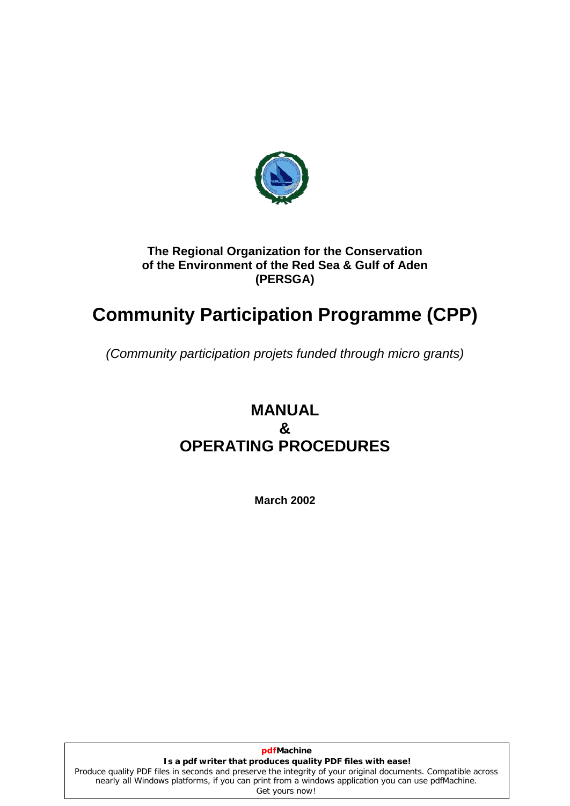

# **The Regional Organization for the Conservation of the Environment of the Red Sea & Gulf of Aden (PERSGA)**

# **Community Participation Programme (CPP)**

(Community participation projets funded through micro grants)

# **MANUAL & OPERATING PROCEDURES**

**March 2002**

**Is a pdf writer that produces quality PDF files with ease!** [Produce quality PDF files in seconds and preserve the integrity of your original documents. Compatible across](http://www.pdfmachine.com?cl)  nearly all Windows platforms, if you can print from a windows application you can use pdfMachine. Get yours now!

**pdfMachine**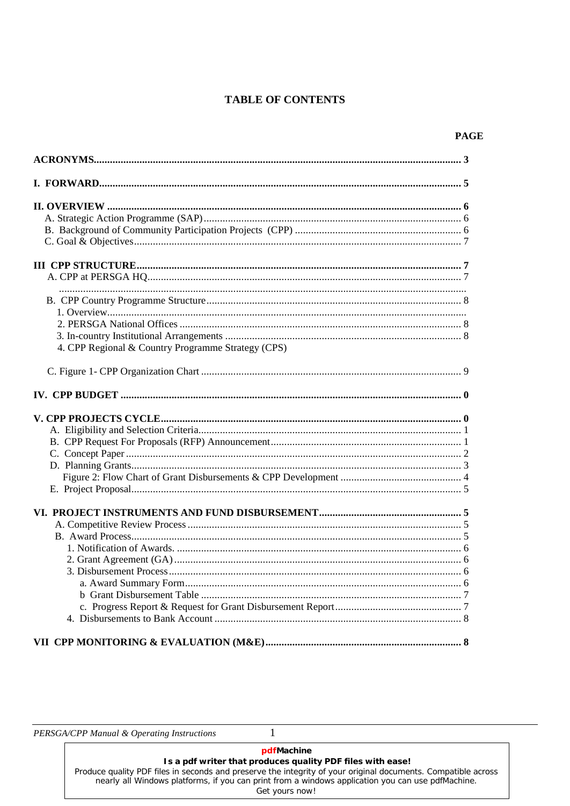# **TABLE OF CONTENTS**

**PAGE** 

| 4. CPP Regional & Country Programme Strategy (CPS) |  |
|----------------------------------------------------|--|
|                                                    |  |
|                                                    |  |
|                                                    |  |
|                                                    |  |
|                                                    |  |
|                                                    |  |
|                                                    |  |
|                                                    |  |
|                                                    |  |
|                                                    |  |
|                                                    |  |
|                                                    |  |
|                                                    |  |
|                                                    |  |
|                                                    |  |
|                                                    |  |
|                                                    |  |
|                                                    |  |
|                                                    |  |
|                                                    |  |

PERSGA/CPP Manual & Operating Instructions

 $\mathbf{1}$ 

#### pdfMachine Is a pdf writer that produces quality PDF files with ease!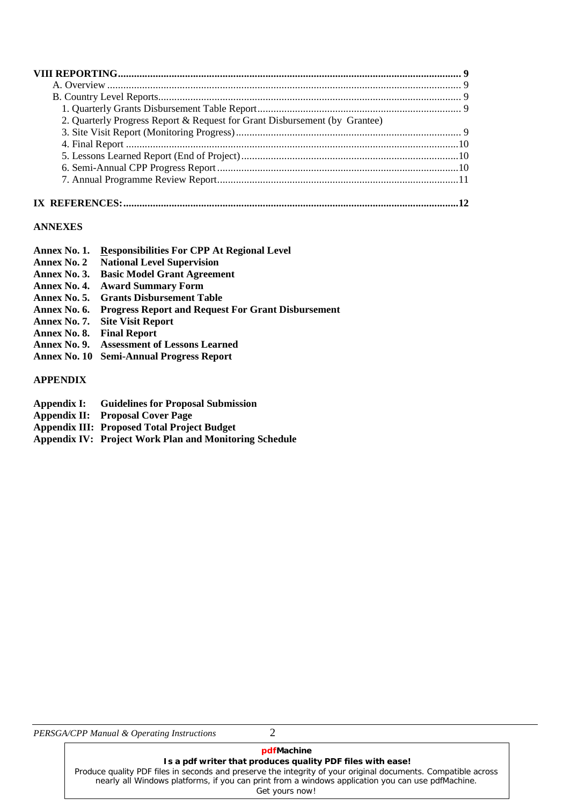| 2. Quarterly Progress Report & Request for Grant Disbursement (by Grantee) |  |
|----------------------------------------------------------------------------|--|
|                                                                            |  |
|                                                                            |  |
|                                                                            |  |
|                                                                            |  |
|                                                                            |  |
|                                                                            |  |
|                                                                            |  |

## **ANNEXES**

| Annex No. 1. Responsibilities For CPP At Regional Level         |
|-----------------------------------------------------------------|
| <b>Annex No. 2 National Level Supervision</b>                   |
| Annex No. 3. Basic Model Grant Agreement                        |
| <b>Annex No. 4. Award Summary Form</b>                          |
| <b>Annex No. 5. Grants Disbursement Table</b>                   |
| Annex No. 6. Progress Report and Request For Grant Disbursement |
| Annex No. 7. Site Visit Report                                  |
| Annex No. 8. Final Report                                       |
| Annex No. 9. Assessment of Lessons Learned                      |
|                                                                 |

**Annex No. 10 Semi-Annual Progress Report**

# **APPENDIX**

- **Appendix I: Guidelines for Proposal Submission**
- **Appendix II: Proposal Cover Page**
- **Appendix III: Proposed Total Project Budget**
- **Appendix IV: Project Work Plan and Monitoring Schedule**

*PERSGA/CPP Manual & Operating Instructions* 2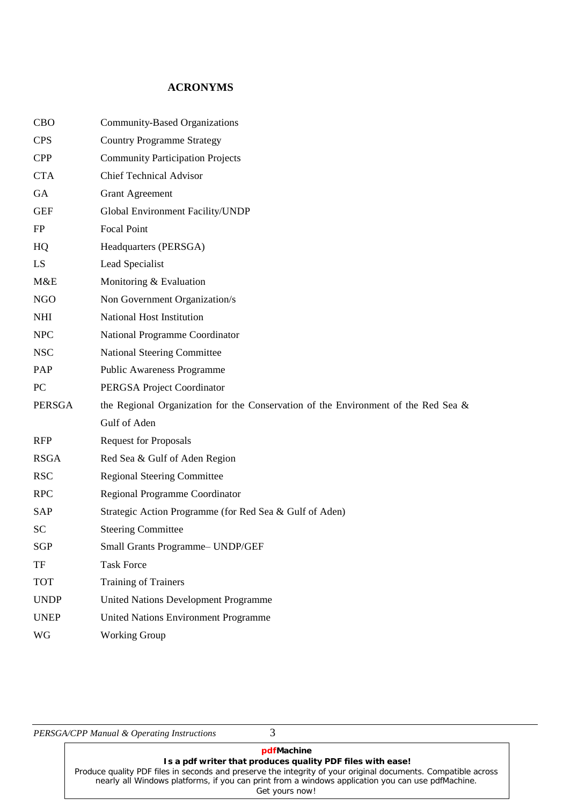# **ACRONYMS**

| <b>CBO</b>    | <b>Community-Based Organizations</b>                                               |
|---------------|------------------------------------------------------------------------------------|
| <b>CPS</b>    | <b>Country Programme Strategy</b>                                                  |
| <b>CPP</b>    | <b>Community Participation Projects</b>                                            |
| <b>CTA</b>    | <b>Chief Technical Advisor</b>                                                     |
| <b>GA</b>     | <b>Grant Agreement</b>                                                             |
| <b>GEF</b>    | Global Environment Facility/UNDP                                                   |
| FP            | <b>Focal Point</b>                                                                 |
| HQ            | Headquarters (PERSGA)                                                              |
| LS            | Lead Specialist                                                                    |
| M&E           | Monitoring & Evaluation                                                            |
| <b>NGO</b>    | Non Government Organization/s                                                      |
| <b>NHI</b>    | National Host Institution                                                          |
| <b>NPC</b>    | National Programme Coordinator                                                     |
| <b>NSC</b>    | National Steering Committee                                                        |
| PAP           | Public Awareness Programme                                                         |
| PC            | PERGSA Project Coordinator                                                         |
| <b>PERSGA</b> | the Regional Organization for the Conservation of the Environment of the Red Sea & |
|               | Gulf of Aden                                                                       |
| <b>RFP</b>    | <b>Request for Proposals</b>                                                       |
| <b>RSGA</b>   | Red Sea & Gulf of Aden Region                                                      |
| <b>RSC</b>    | <b>Regional Steering Committee</b>                                                 |
| <b>RPC</b>    | Regional Programme Coordinator                                                     |
| <b>SAP</b>    | Strategic Action Programme (for Red Sea & Gulf of Aden)                            |
| <b>SC</b>     | <b>Steering Committee</b>                                                          |
| <b>SGP</b>    | Small Grants Programme- UNDP/GEF                                                   |
| TF            | <b>Task Force</b>                                                                  |
| <b>TOT</b>    | Training of Trainers                                                               |
| <b>UNDP</b>   | United Nations Development Programme                                               |
| <b>UNEP</b>   | <b>United Nations Environment Programme</b>                                        |
| WG            | <b>Working Group</b>                                                               |

*PERSGA/CPP Manual & Operating Instructions* 3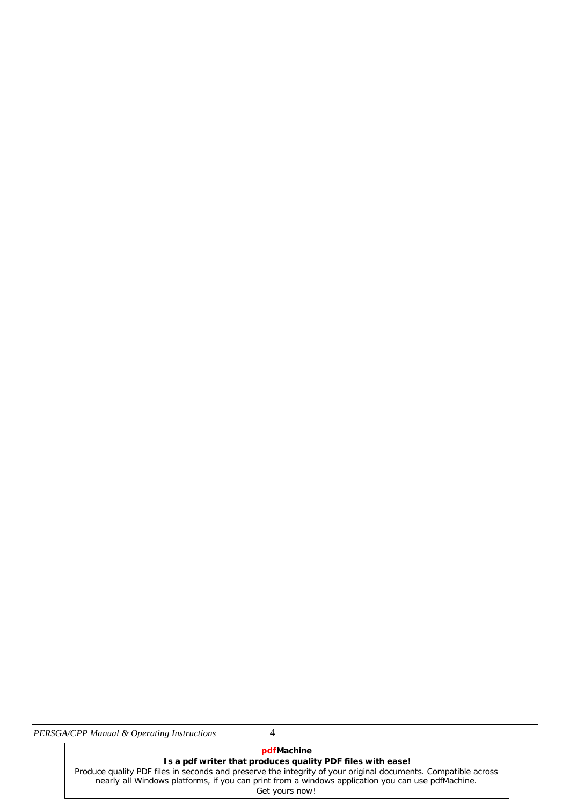*PERSGA/CPP Manual & Operating Instructions* 4

#### **pdfMachine Is a pdf writer that produces quality PDF files with ease!**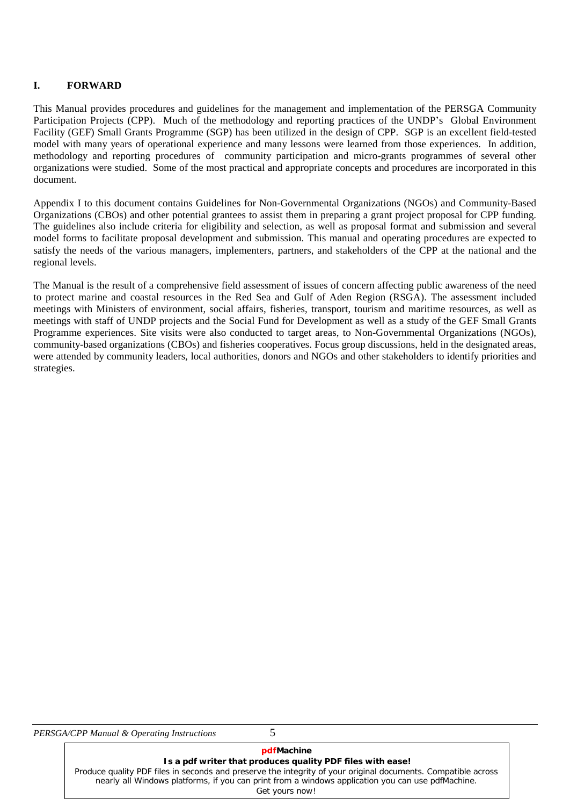## **I. FORWARD**

This Manual provides procedures and guidelines for the management and implementation of the PERSGA Community This Manual provides procedures and guidelines for the management and implementation of the PERSGA Community<br>Participation Projects (CPP). Much of the methodology and reporting practices of the UNDP's Global Environment Facility (GEF) Small Grants Programme (SGP) has been utilized in the design of CPP. SGP is an excellent field-tested model with many years of operational experience and many lessons were learned from those experiences. In addition, methodology and reporting procedures of community participation and micro-grants programmes of several other organizations were studied. Some of the most practical and appropriate concepts and procedures are incorporated in this document.

Appendix I to this document contains Guidelines for Non-Governmental Organizations (NGOs) and Community-Based Organizations (CBOs) and other potential grantees to assist them in preparing a grant project proposal for CPP funding. The guidelines also include criteria for eligibility and selection, as well as proposal format and submission and several model forms to facilitate proposal development and submission. This manual and operating procedures are expected to satisfy the needs of the various managers, implementers, partners, and stakeholders of the CPP at the national and the regional levels.

The Manual is the result of a comprehensive field assessment of issues of concern affecting public awareness of the need to protect marine and coastal resources in the Red Sea and Gulf of Aden Region (RSGA). The assessment included meetings with Ministers of environment, social affairs, fisheries, transport, tourism and maritime resources, as well as meetings with staff of UNDP projects and the Social Fund for Development as well as a study of the GEF Small Grants Programme experiences. Site visits were also conducted to target areas, to Non-Governmental Organizations (NGOs), community-based organizations (CBOs) and fisheries cooperatives. Focus group discussions, held in the designated areas, were attended by community leaders, local authorities, donors and NGOs and other stakeholders to identify priorities and strategies.

*PERSGA/CPP Manual & Operating Instructions* 5

#### **pdfMachine Is a pdf writer that produces quality PDF files with ease!**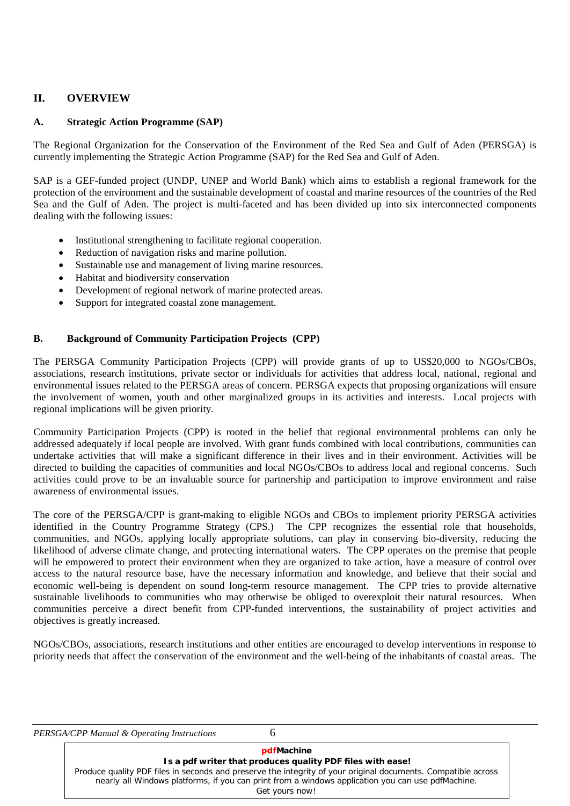# **II. OVERVIEW**

## **A. Strategic Action Programme (SAP)**

The Regional Organization for the Conservation of the Environment of the Red Sea and Gulf of Aden (PERSGA) is currently implementing the Strategic Action Programme (SAP) for the Red Sea and Gulf of Aden.

SAP is a GEF-funded project (UNDP, UNEP and World Bank) which aims to establish a regional framework for the protection of the environment and the sustainable development of coastal and marine resources of the countries of the Red Sea and the Gulf of Aden. The project is multi-faceted and has been divided up into six interconnected components dealing with the following issues:

- Institutional strengthening to facilitate regional cooperation.
- Institutional strengthening to facilitate regional cooperat<br>• Reduction of navigation risks and marine pollution.
- Reduction of navigation risks and marine pollution.<br>Sustainable use and management of living marine resources.  $\bullet$
- Habitat and biodiversity conservation
- Development of regional network of marine protected areas.
- Support for integrated coastal zone management.

## **B. Background of Community Participation Projects (CPP)**

The PERSGA Community Participation Projects (CPP) will provide grants of up to US\$20,000 to NGOs/CBOs, associations, research institutions, private sector or individuals for activities that address local, national, regional and environmental issues related to the PERSGA areas of concern. PERSGA expects that proposing organizations will ensure the involvement of women, youth and other marginalized groups in its activities and interests. Local projects with regional implications will be given priority.

Community Participation Projects (CPP) is rooted in the belief that regional environmental problems can only be addressed adequately if local people are involved. With grant funds combined with local contributions, communities can undertake activities that will make a significant difference in their lives and in their environment. Activities will be directed to building the capacities of communities and local NGOs/CBOs to address local and regional concerns. Such activities could prove to be an invaluable source for partnership and participation to improve environment and raise awareness of environmental issues.

The core of the PERSGA/CPP is grant-making to eligible NGOs and CBOs to implement priority PERSGA activities identified in the Country Programme Strategy (CPS.) The CPP recognizes the essential role that households, communities, and NGOs, applying locally appropriate solutions, can play in conserving bio-diversity, reducing the likelihood of adverse climate change, and protecting international waters. The CPP operates on the premise that people will be empowered to protect their environment when they are organized to take action, have a measure of control over access to the natural resource base, have the necessary information and knowledge, and believe that their social and economic well-being is dependent on sound long-term resource management. The CPP tries to provide alternative sustainable livelihoods to communities who may otherwise be obliged to overexploit their natural resources. When communities perceive a direct benefit from CPP-funded interventions, the sustainability of project activities and objectives is greatly increased.

NGOs/CBOs, associations, research institutions and other entities are encouraged to develop interventions in response to priority needs that affect the conservation of the environment and the well-being of the inhabitants of coastal areas. The

*PERSGA/CPP Manual & Operating Instructions* 6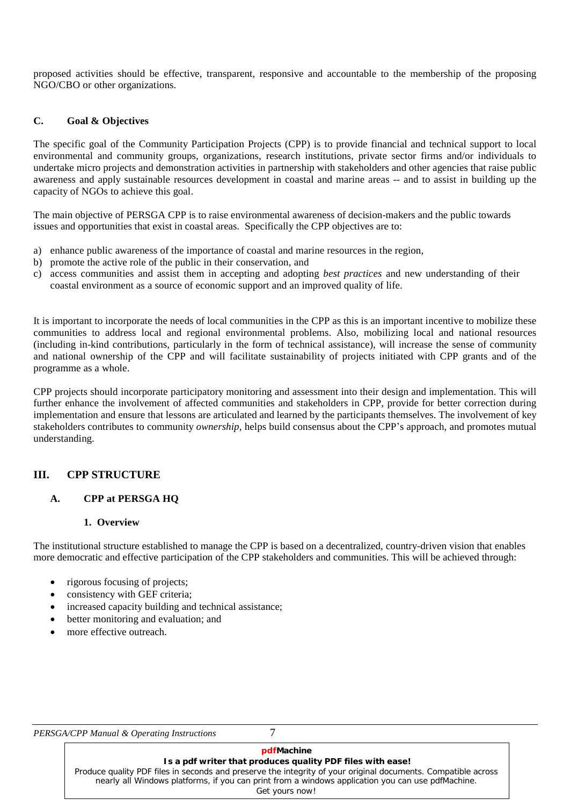proposed activities should be effective, transparent, responsive and accountable to the membership of the proposing NGO/CBO or other organizations.

## **C. Goal & Objectives**

The specific goal of the Community Participation Projects (CPP) is to provide financial and technical support to local environmental and community groups, organizations, research institutions, private sector firms and/or individuals to undertake micro projects and demonstration activities in partnership with stakeholders and other agencies that raise public awareness and apply sustainable resources development in coastal and marine areas -- and to assist in building up the capacity of NGOs to achieve this goal.

The main objective of PERSGA CPP is to raise environmental awareness of decision-makers and the public towards issues and opportunities that exist in coastal areas. Specifically the CPP objectives are to:

- a) enhance public awareness of the importance of coastal and marine resources in the region,
- b) promote the active role of the public in their conservation, and
- c) access communities and assist them in accepting and adopting *best practices* and new understanding oftheir coastal environment as a source of economic support and an improved quality of life.

It is important to incorporate the needs of local communities in the CPP as this is an important incentive to mobilize these communities to address local and regional environmental problems. Also, mobilizing local and national resources (including in-kind contributions, particularly in the form of technical assistance), will increase the sense of community and national ownership of the CPP and will facilitate sustainability of projects initiated with CPP grants and of the programme as a whole.

CPP projects should incorporate participatory monitoring and assessment into their design and implementation. This will further enhance the involvement of affected communities and stakeholders in CPP, provide for better correction during implementation and ensure that lessons are articulated and learned by the participants themselves. The involvement of key further enhance the involvement of affected communities and stakeholders in CPP, provide for better correction during<br>implementation and ensure that lessons are articulated and learned by the participants themselves. The i understanding.

# **III. CPP STRUCTURE**

## **A. CPP at PERSGA HQ**

## **1. Overview**

The institutional structure established to manage the CPP is based on a decentralized, country-driven vision that enables more democratic and effective participation of the CPP stakeholders and communities. This will be achieved through:

- rigorous focusing of projects;
- consistency with GEF criteria;
- increased capacity building and technical assistance;  $\bullet$
- better monitoring and evaluation; and
- more effective outreach.

*PERSGA/CPP Manual & Operating Instructions* 7

#### **pdfMachine Is a pdf writer that produces quality PDF files with ease!**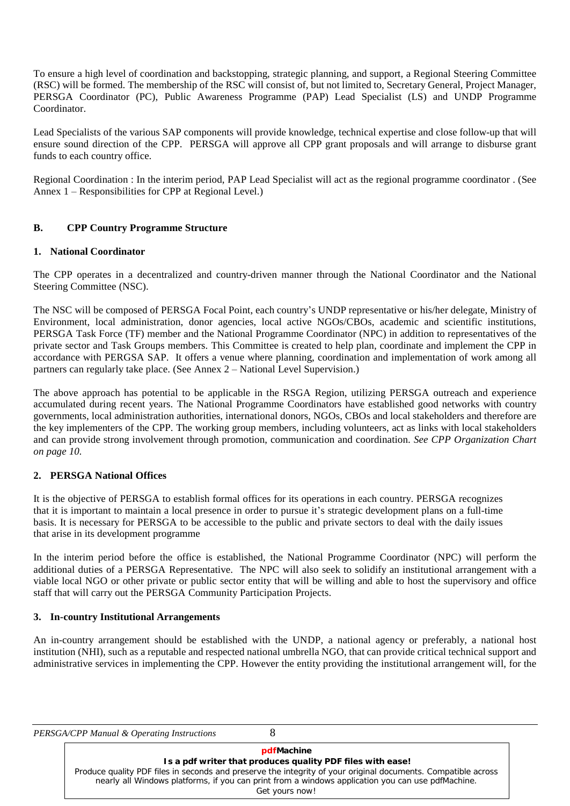To ensure a high level of coordination and backstopping, strategic planning, and support, a Regional Steering Committee (RSC) will be formed. The membership of the RSC will consist of, but not limited to, Secretary General, Project Manager, PERSGA Coordinator (PC), Public Awareness Programme (PAP) Lead Specialist (LS) and UNDP Programme Coordinator.

Lead Specialists of the various SAP components will provide knowledge, technical expertise and close follow-up that will ensure sound direction of the CPP. PERSGA will approve all CPP grant proposals and will arrange to disburse grant funds to each country office.

Regional Coordination : In the interim period, PAP Lead Specialist will act as the regional programme coordinator . (See n<br>Annex 1 – Responsibilities for CPP at Regional Level.)<br>Annex 1 – Responsibilities for CPP at Regional Level.)

# **B. CPP Country Programme Structure**

## **1. National Coordinator**

The CPP operates in a decentralized and country-driven manner through the National Coordinator and the National Steering Committee (NSC).

The NSC will be composed of PERSGA Focal Point, each country's UNDP representative or his/her delegate, Ministry of Environment, local administration, donor agencies, local active NGOs/CBOs, academic and scientific institutions, PERSGA Task Force (TF) member and the National Programme Coordinator (NPC) in addition to representatives of the private sector and Task Groups members. This Committee is created to help plan, coordinate and implement the CPP in accordance with PERGSA SAP. It offers a venue where planning, coordination and implementation of work amon accordance with PERGSA SAP. It offers a venue where planning, coordination and implementation of work among all partners can regularly take place. (See Annex 2 – National Level Supervision.)

The above approach has potential to be applicable in the RSGA Region, utilizing PERSGA outreach and experience accumulated during recent years. The National Programme Coordinators have established good networks with country governments, local administration authorities, international donors, NGOs, CBOs and local stakeholders and therefore are the key implementers of the CPP. The working group members, including volunteers, act as links with local stakeholders and can provide strong involvement through promotion, communication and coordination. *See CPP Organization Chart on page 10.*

# **2. PERSGA National Offices**

It is the objective of PERSGA to establish formal offices for its operations in each country. PERSGA recognizes It is the objective of PERSGA to establish formal offices for its operations in each country. PERSGA recognizes<br>that it is important to maintain a local presence in order to pursue it's strategic development plans on a ful basis. It is necessary for PERSGA to be accessible to the public and private sectors to deal with the daily issues that arise in its development programme

In the interim period before the office is established, the National Programme Coordinator (NPC) will perform the additional duties of a PERSGA Representative. The NPC will also seek to solidify an institutional arrangement with a viable local NGO or other private or public sector entity that will be willing and able to host the supervisory and office staff that will carry out the PERSGA Community Participation Projects.

## **3. In-country Institutional Arrangements**

An in-country arrangement should be established with the UNDP, a national agency or preferably, a national host institution (NHI), such as a reputable and respected national umbrella NGO, that can provide critical technical support and administrative services in implementing the CPP. However the entity providing the institutional arrangement will, for the

*PERSGA/CPP Manual & Operating Instructions* 8

| <b>pdfMachine</b>                                                                                                                                                                                                  |
|--------------------------------------------------------------------------------------------------------------------------------------------------------------------------------------------------------------------|
| Is a pdf writer that produces quality PDF files with ease!                                                                                                                                                         |
| Produce quality PDF files in seconds and preserve the integrity of your original documents. Compatible across<br>nearly all Windows platforms, if you can print from a windows application you can use pdfMachine. |
| Get yours now!                                                                                                                                                                                                     |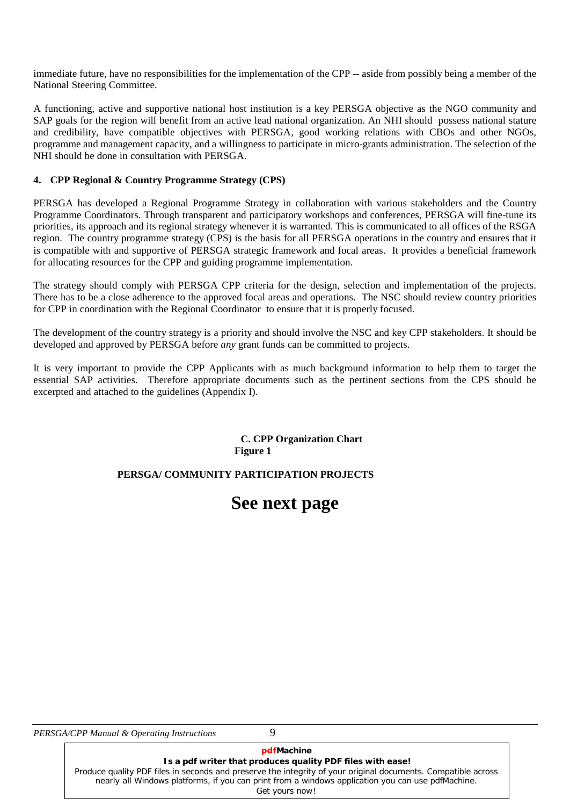immediate future, have no responsibilities for the implementation of the CPP -- aside from possibly being a member of the National Steering Committee.

A functioning, active and supportive national host institution is a key PERSGA objective as the NGO community and SAP goals for the region will benefit from an active lead national organization. An NHI should possess national stature and credibility, have compatible objectives with PERSGA, good working relations with CBOs and other NGOs, programme and management capacity, and a willingness to participate in micro-grants administration. The selection of the NHI should be done in consultation with PERSGA.

## **4. CPP Regional & Country Programme Strategy (CPS)**

PERSGA has developed a Regional Programme Strategy in collaboration with various stakeholders and the Country Programme Coordinators. Through transparent and participatory workshops and conferences, PERSGA will fine-tune its priorities, its approach and its regional strategy whenever it is warranted. This is communicated to all offices of the RSGA region. The country programme strategy (CPS) is the basis for all PERSGA operations in the country and ensures that it is compatible with and supportive of PERSGA strategic framework and focal areas. It provides a beneficial framework for allocating resources for the CPP and guiding programme implementation.

The strategy should comply with PERSGA CPP criteria for the design, selection and implementation of the projects. There has to be a close adherence to the approved focal areas and operations. The NSC should review country priorities for CPP in coordination with the Regional Coordinator to ensure that it is properly focused.

The development of the country strategy is a priority and should involve the NSC and key CPP stakeholders. It should be developed and approved by PERSGA before *any* grant funds can be committed to projects.

It is very important to provide the CPP Applicants with as much background information to help them to target the essential SAP activities. Therefore appropriate documents such as the pertinent sections from the CPS should be excerpted and attached to the guidelines (Appendix I).

> **C. CPP Organization Chart Figure 1**

# **PERSGA/ COMMUNITY PARTICIPATION PROJECTS**

# **See next page**

*PERSGA/CPP Manual & Operating Instructions* 9

#### **pdfMachine Is a pdf writer that produces quality PDF files with ease!**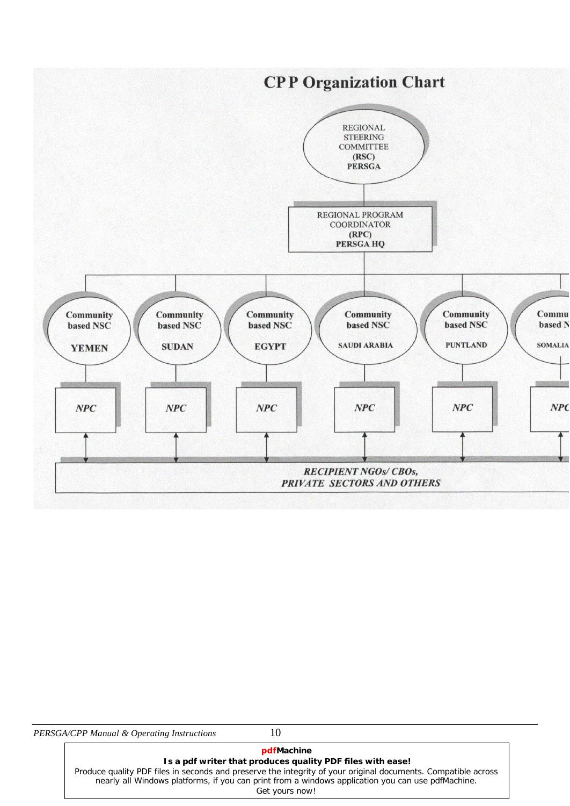

*PERSGA/CPP Manual & Operating Instructions* 10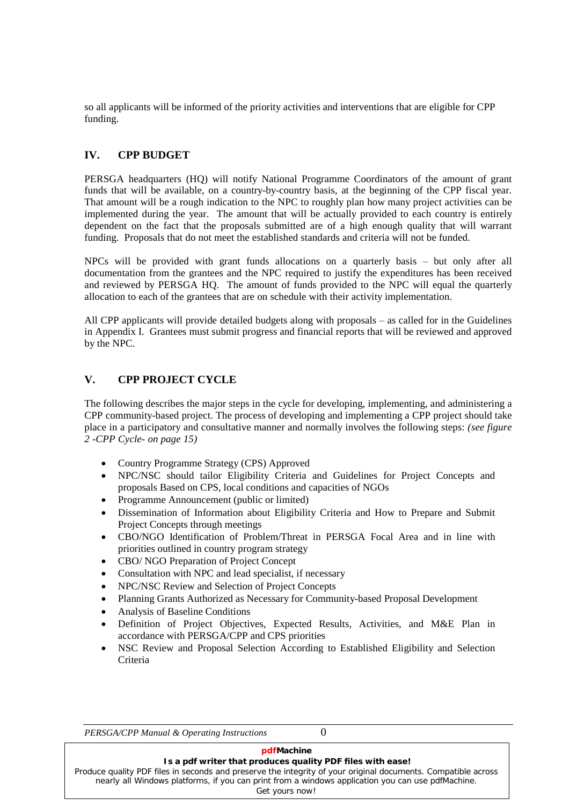so all applicants will be informed of the priority activities and interventions that are eligible for CPP funding.

# **IV. CPP BUDGET**

PERSGA headquarters (HQ) will notify National Programme Coordinators of the amount of grant funds that will be available, on a country-by-country basis, at the beginning of the CPP fiscal year. That amount will be a rough indication to the NPC to roughly plan how many project activities can be implemented during the year. The amount that will be actually provided to each country is entirely dependent on the fact that the proposals submitted are of a high enough quality that will warrant funding. Proposals that do not meet the established standards and criteria will not be funded.

NPCs will be provided with grant funds allocations on a quarterly basis  $-$  but only after all documentation from the grantees and the NPC required to justify the expenditures has been received and reviewed by PERSGA HQ. The amount of funds provided to the NPC will equal the quarterly allocation to each of the grantees that are on schedule with their activity implementation.

All CPP applicants will provide detailed budgets along with proposals – as called for in the Guidelines in Appendix I. Grantees must submit progress and financial reports that will be reviewed and approved by the NPC.

# **V. CPP PROJECT CYCLE**

The following describes the major steps in the cycle for developing, implementing, and administering a CPP community-based project. The process of developing and implementing a CPP project should take place in a participatory and consultative manner and normally involves the following steps: *(see figure 2 -CPP Cycle- on page 15)*

- Country Programme Strategy (CPS) Approved
- NPC/NSC should tailor Eligibility Criteria and Guidelines for Project Concepts and proposals Based on CPS, local conditions and capacities of NGOs proposals Based on CPS, local conditions and capacities of NGOs<br>• Programme Announcement (public or limited)
- 
- Dissemination of Information about Eligibility Criteria and How to Prepare and Submit Project Concepts through meetings
- CBO/NGO Identification of Problem/Threat in PERSGA Focal Area and in line with priorities outlined in country program strategy
- priorities outlined in country program strategy<br>
CBO/ NGO Preparation of Project Concept
- 
- Consultation with NPC and lead specialist, if necessary<br>• NPC/NSC Review and Selection of Project Concepts
- NPC/NSC Review and Selection of Project Concepts<br>• Planning Grants Authorized as Necessary for Community-based Proposal Development • Planning Grants Authorized as Necessa<br>• Analysis of Baseline Conditions
- 
- Definition of Project Objectives, Expected Results, Activities, and M&E Plan in accordance with PERSGA/CPP and CPS priorities
- NSC Review and Proposal Selection According to Established Eligibility and Selection  $\bullet$ Criteria

*PERSGA/CPP Manual & Operating Instructions* 0

#### **pdfMachine Is a pdf writer that produces quality PDF files with ease!**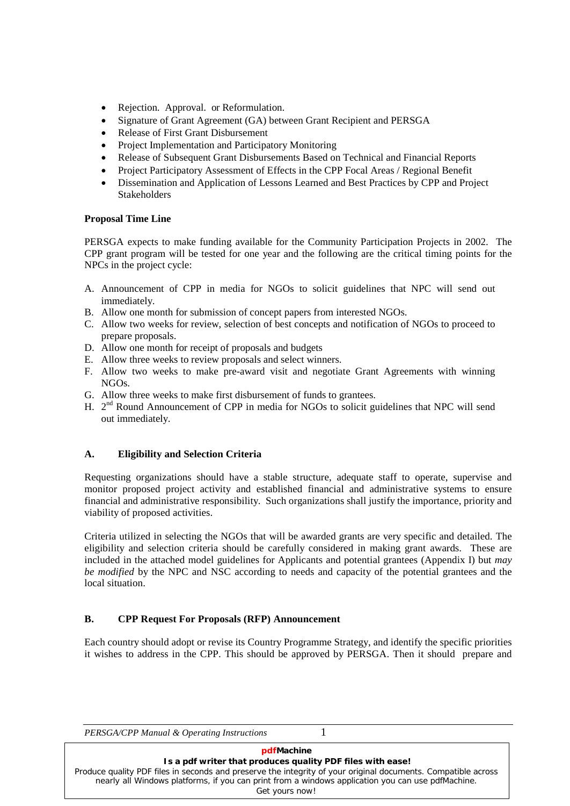- Rejection. Approval. or Reformulation.
- Signature of Grant Agreement (GA) between Grant Recipient and PERSGA<br>• Release of First Grant Disbursement
- $\bullet$
- Project Implementation and Participatory Monitoring
- Project Implementation and Participatory Monitoring<br>• Release of Subsequent Grant Disbursements Based on Technical and Financial Reports
- Project Participatory Assessment of Effects in the CPP Focal Areas / Regional Benefit
- Dissemination and Application of Lessons Learned and Best Practices by CPP and Project **Stakeholders**

## **Proposal Time Line**

PERSGA expects to make funding available for the Community Participation Projects in 2002. The CPP grant program will be tested for one year and the following are the critical timing points for the NPCs in the project cycle:

- A. Announcement of CPP in media for NGOs to solicit guidelines that NPC will send out immediately.
- B. Allow one month for submission of concept papers from interested NGOs.
- C. Allow two weeks for review, selection of best concepts and notification of NGOs to proceed to prepare proposals.
- D. Allow one month for receipt of proposals and budgets
- E. Allow three weeks to review proposals and select winners.
- F. Allow two weeks to make pre-award visit and negotiate Grant Agreements with winning NGOs.
- G. Allow three weeks to make first disbursement of funds to grantees.
- H. 2<sup>nd</sup> Round Announcement of CPP in media for NGOs to solicit guidelines that NPC will send out immediately.

## **A. Eligibility and Selection Criteria**

Requesting organizations should have a stable structure, adequate staff to operate, supervise and monitor proposed project activity and established financial and administrative systems to ensure financial and administrative responsibility. Such organizations shall justify the importance, priority and viability of proposed activities.

Criteria utilized in selecting the NGOs that will be awarded grants are very specific and detailed. The eligibility and selection criteria should be carefully considered in making grant awards. These are included in the attached model guidelines for Applicants and potential grantees (Appendix I) but *may be modified* by the NPC and NSC according to needs and capacity of the potential grantees and the local situation.

# **B. CPP Request For Proposals (RFP) Announcement**

Each country should adopt or revise its Country Programme Strategy, and identify the specific priorities it wishes to address in the CPP. This should be approved by PERSGA. Then it should prepare and

| PERSGA/CPP Manual & Operating Instructions |  |
|--------------------------------------------|--|
|--------------------------------------------|--|

| pdfMachine                                                                                                    |
|---------------------------------------------------------------------------------------------------------------|
| Is a pdf writer that produces quality PDF files with ease!                                                    |
| Produce quality PDF files in seconds and preserve the integrity of your original documents. Compatible across |
| nearly all Windows platforms, if you can print from a windows application you can use pdfMachine.             |
| Get yours now!                                                                                                |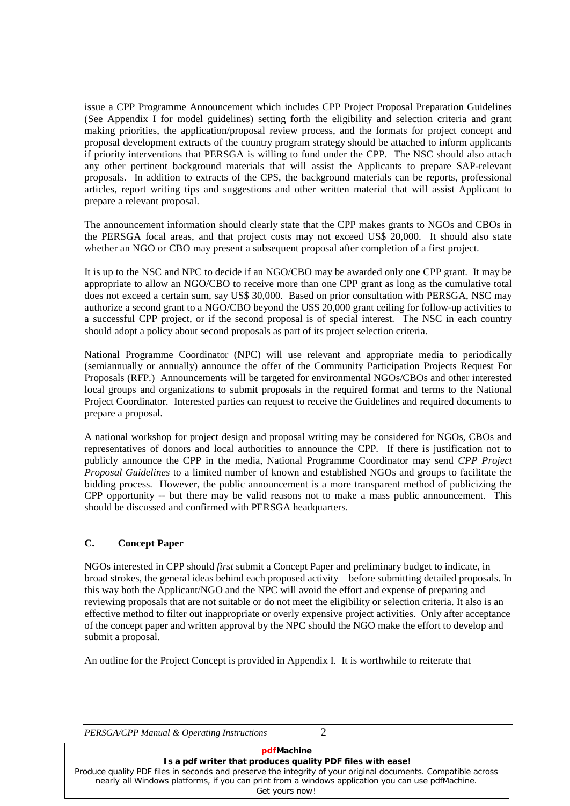issue a CPP Programme Announcement which includes CPP Project Proposal Preparation Guidelines (See Appendix I for model guidelines) setting forth the eligibility and selection criteria and grant making priorities, the application/proposal review process, and the formats for project concept and proposal development extracts of the country program strategy should be attached to inform applicants if priority interventions that PERSGA is willing to fund under the CPP. The NSC should also attach any other pertinent background materials that will assist the Applicants to prepare SAP-relevant proposals. In addition to extracts of the CPS, the background materials can be reports, professional articles, report writing tips and suggestions and other written material that will assist Applicant to prepare a relevant proposal.

The announcement information should clearly state that the CPP makes grants to NGOs and CBOs in the PERSGA focal areas, and that project costs may notexceed US\$ 20,000. It should also state whether an NGO or CBO may present a subsequent proposal after completion of a first project.

It is up to the NSC and NPC to decide if an NGO/CBO may be awarded only one CPP grant. It may be appropriate to allow an NGO/CBO to receive more than one CPP grant as long as the cumulative total does not exceed a certain sum, say US\$ 30,000. Based on prior consultation with PERSGA, NSC may authorize a second grant to a NGO/CBO beyond the US\$ 20,000 grant ceiling for follow-up activities to a successful CPP project, or if the second proposal is of special interest. The NSC in each country should adopt a policy about second proposals as part of its project selection criteria.

National Programme Coordinator (NPC) will use relevant and appropriate media to periodically (semiannually or annually) announce the offer of the Community Participation Projects Request For Proposals (RFP.) Announcements will be targeted for environmental NGOs/CBOs and other interested local groups and organizations to submit proposals in the required format and terms to the National Project Coordinator. Interested parties can request to receive the Guidelines and required documents to prepare a proposal.

A national workshop for project design and proposal writing may be considered for NGOs, CBOs and representatives of donors and local authorities to announce the CPP. If there is justification not to publicly announce the CPP in the media, National Programme Coordinator may send *CPP Project Proposal Guidelines* to a limited number of known and established NGOs and groups to facilitate the bidding process. However, the public announcement is a more transparent method of publicizing the CPP opportunity -- but there may be valid reasons not to make a mass public announcement. This should be discussed and confirmed with PERSGA headquarters.

# **C. Concept Paper**

NGOs interested in CPP should *first* submit a Concept Paper and preliminary budget to indicate, in broad strokes, the general ideas behind each proposed activity – before submitting detailed proposals. In this way both the Applicant/NGO and the NPC will avoid the effort and expense of preparing and reviewing proposals that are not suitable or do not meet the eligibility or selection criteria. It also is an effective method to filter out inappropriate or overly expensive project activities. Only after acceptance of the concept paper and written approval by the NPC should the NGO make the effort to develop and submit a proposal.

An outline for the Project Concept is provided in Appendix I. It is worthwhile to reiterate that

*PERSGA/CPP Manual & Operating Instructions* 2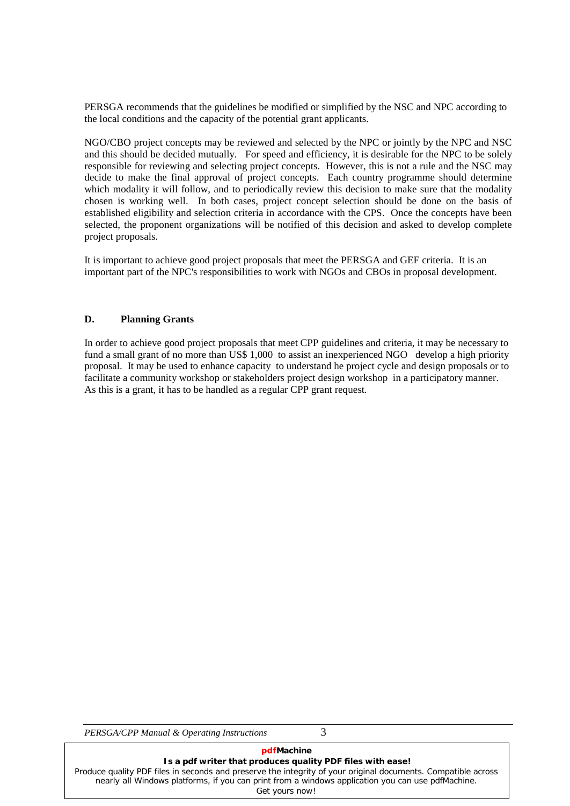PERSGA recommends that the guidelines be modified or simplified by the NSC and NPC according to the local conditions and the capacity of the potential grant applicants.

NGO/CBO project concepts may be reviewed and selected by the NPC or jointly by the NPC and NSC and this should be decided mutually. For speed and efficiency, it is desirable for the NPC to be solely responsible for reviewing and selecting project concepts. However, this is not a rule and the NSC may decide to make the final approval of project concepts. Each country programme should determine which modality it will follow, and to periodically review this decision to make sure that the modality chosen is working well. In both cases, project concept selection should be done on the basis of established eligibility and selection criteria in accordance with the CPS. Once the concepts have been selected, the proponent organizations will be notified of this decision and asked to develop complete project proposals.

It is important to achieve good project proposals that meet the PERSGA andGEF criteria. It is an important part of the NPC's responsibilities to work with NGOs and CBOs in proposal development.

## **D. Planning Grants**

In order to achieve good project proposals that meet CPP guidelines and criteria, it may be necessary to fund a small grant of no more than US\$ 1,000 to assist an inexperienced NGO develop a high priority proposal. It may be used to enhance capacity to understand he project cycle and design proposals or to facilitate a community workshop or stakeholders project design workshop in a participatory manner. As this is a grant, it has to be handled as a regular CPP grant request.

*PERSGA/CPP Manual & Operating Instructions* 3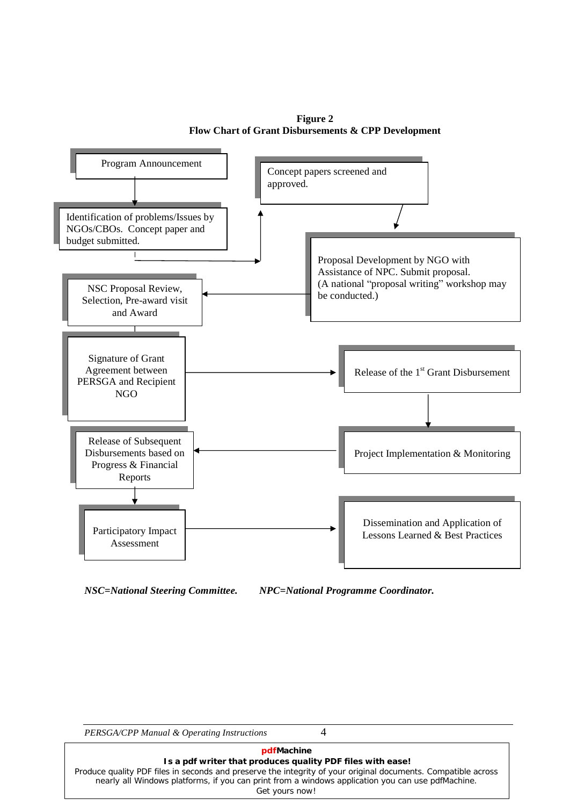**Figure 2 Flow Chart of Grant Disbursements & CPP Development**



*NSC=National Steering Committee. NPC=National Programme Coordinator.*

*PERSGA/CPP Manual & Operating Instructions* 4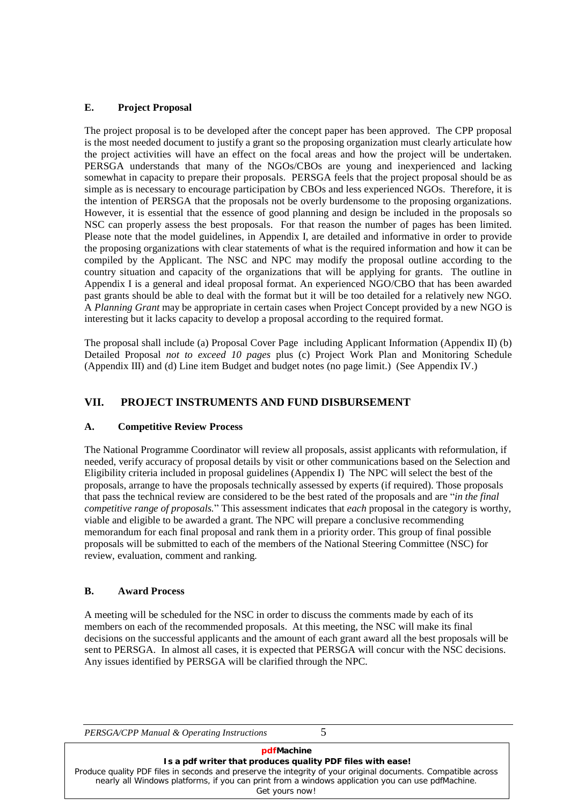## **E. Project Proposal**

The project proposal is to be developed after the concept paper has been approved. The CPP proposal is the most needed document to justify a grant so the proposing organization must clearly articulate how the project activities will have an effect on the focal areas and how the project will be undertaken. PERSGA understands that many of the NGOs/CBOs are young and inexperienced and lacking somewhat in capacity to prepare their proposals. PERSGA feels that the project proposal should be as simple as is necessary to encourage participation by CBOs and less experienced NGOs. Therefore, it is the intention of PERSGA that the proposals not be overly burdensome to the proposing organizations. However, it is essential that the essence of good planning and design be included in the proposals so NSC can properly assess the best proposals. For that reason the number of pages has been limited. Please note that the model guidelines, in Appendix I, are detailed and informative in order to provide the proposing organizations with clear statements of what is the required information and how it can be compiled by the Applicant. The NSC and NPC may modify the proposal outline according to the country situation and capacity of the organizations that will be applying for grants. The outline in Appendix I is a general and ideal proposal format. An experienced NGO/CBO that has been awarded past grants should be able to deal with the format but it will be too detailed for a relatively new NGO. A *Planning Grant* may be appropriate in certain cases when Project Concept provided by a new NGO is interesting but it lacks capacity to develop a proposal according to the required format.

The proposal shall include (a) Proposal Cover Page including Applicant Information (Appendix II)(b) Detailed Proposal *not to exceed 10 pages* plus (c) Project Work Plan and Monitoring Schedule (Appendix III) and (d) Line item Budget and budget notes (no page limit.) (See Appendix IV.)

# **VII. PROJECT INSTRUMENTS AND FUND DISBURSEMENT**

## **A. Competitive Review Process**

The National Programme Coordinator will review all proposals, assist applicants with reformulation, if needed, verify accuracy of proposal details by visit or other communications based on the Selection and Eligibility criteria included in proposal guidelines (Appendix I) The NPC will select the best of the proposals, arrange to have the proposals technically assessed by experts (if required). Those proposals that pass the te proposals, arrange to have the proposals technically assessed by experts (if required). Those proposals *competitive range of proposals.*<sup>7</sup> This assessment indicates that *each* proposals and are "*in the final competitive range of proposals.*<sup>7</sup> This assessment indicates that *each* proposal in the category is worthy, viable and eligible to be awarded a grant. The NPC will prepare a conclusive recommending memorandum for each final proposal and rank them in a priority order. This group of final possible proposals will be submitted to each of the members of the National Steering Committee (NSC) for review, evaluation, comment and ranking.

# **B. Award Process**

A meeting will be scheduled for the NSC in order to discuss the comments made by each of its members on each of the recommended proposals. At this meeting, the NSC will make its final decisions on the successful applicants and the amount of each grant award all the best proposals will be sent to PERSGA. In almost all cases, it is expected that PERSGA will concur with the NSC decisions. Any issues identified by PERSGA will be clarified through the NPC.

| PERSGA/CPP Manual & Operating Instructions |  |
|--------------------------------------------|--|
|--------------------------------------------|--|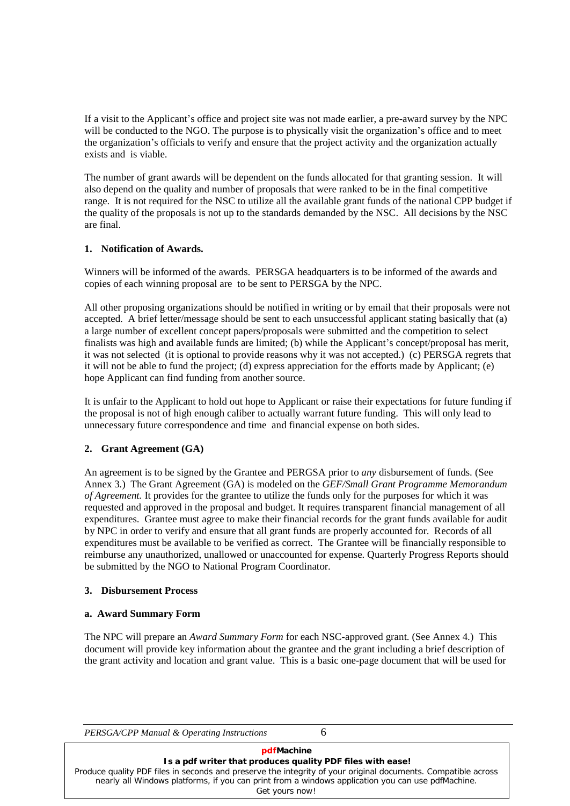If a visit to the Applicant's office and project site was not made earlier, a pre-award survey by the NPC If a visit to the Applicant's office and project site was not made earlier, a pre-award survey by the NPC<br>will be conducted to the NGO. The purpose is to physically visit the organization's office and to meet If a visit to the Applicant's office and project site was not made earlier, a pre-award survey by the NPC will be conducted to the NGO. The purpose is to physically visit the organization's office and to meet the organizat exists and is viable.

The number of grant awards will be dependent on the funds allocated for that granting session. It will also depend on the quality and number of proposals that were ranked to be in the final competitive range. It is not required for the NSC to utilize all the available grant funds of the national CPP budget if the quality of the proposals is not up to the standards demanded by the NSC. All decisions by the NSC are final.

## **1. Notification of Awards.**

Winners will be informed of the awards. PERSGA headquarters is to be informed of the awards and copies of each winning proposal are to be sent to PERSGA by the NPC.

All other proposing organizations should be notified in writing or by email that their proposals were not accepted. A brief letter/message should be sent to each unsuccessful applicant stating basically that (a) a large number of excellent concept papers/proposals were submitted and the competition to select finalists was high and available funds are limited; (b) while the Applicant's concept/proposal has merit, it was not selected (it is optional to provide reasons why it was not accepted.) (c) PERSGA regrets that it will not be able to fund the project; (d) express appreciation for the efforts made by Applicant; (e) hope Applicant can find funding from another source.

It is unfair to the Applicant to hold out hope to Applicant or raise their expectations for future funding if the proposal is not of high enough caliber to actually warrant future funding. This will only lead to unnecessary future correspondence and time and financial expense on both sides.

## **2. Grant Agreement (GA)**

An agreement is to be signed by the Grantee and PERGSA prior to *any* disbursement of funds. (See Annex 3.) The Grant Agreement (GA) is modeled on the *GEF/Small Grant Programme Memorandum of Agreement.* It provides for the grantee to utilize the funds only for the purposes for which it was requested and approved in the proposal and budget. It requires transparent financial management of all expenditures. Grantee must agree to make their financial records for the grant funds available for audit by NPC in order to verify and ensure that all grant funds are properly accounted for. Records of all expenditures must be available to be verified as correct. The Grantee will be financially responsible to reimburse any unauthorized, unallowed or unaccounted for expense. Quarterly Progress Reports should be submitted by the NGO to National Program Coordinator.

## **3. Disbursement Process**

## **a. Award Summary Form**

The NPC will prepare an *Award Summary Form* for each NSC-approved grant. (See Annex 4.) This document will provide key information about the grantee and the grant including a brief description of the grant activity and location and grant value. This is a basic one-page document that will be used for

|  | PERSGA/CPP Manual & Operating Instructions |  |
|--|--------------------------------------------|--|
|--|--------------------------------------------|--|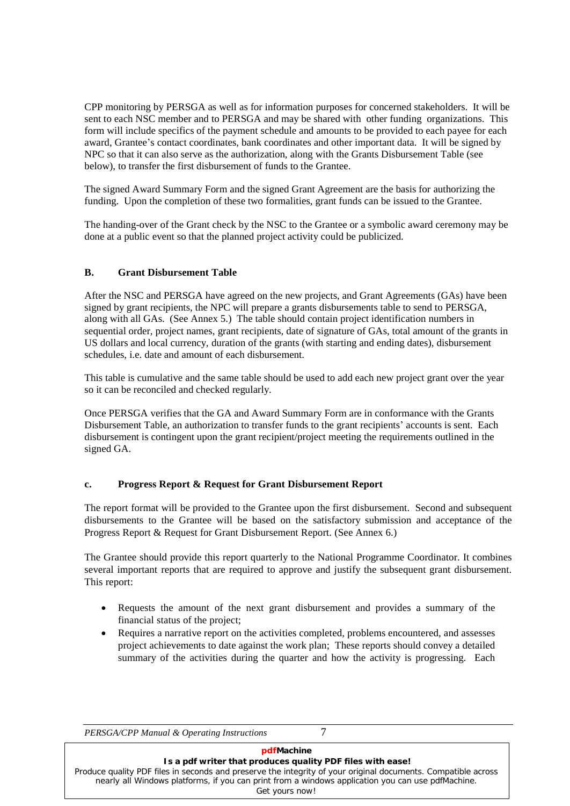CPP monitoring by PERSGA as well as for information purposes for concerned stakeholders. It will be sent to each NSC member and to PERSGA and may be shared with other funding organizations. This<br>form will include specifics of the payment schedule and amounts to be provided to each payee for each<br>award, Grantee's contact form will include specifics of the payment schedule and amounts to be provided to each payee for each NPC so that it can also serve as the authorization, along with the Grants Disbursement Table (see below), to transfer the first disbursement of funds to the Grantee.

The signed Award Summary Form and the signed Grant Agreement are the basis for authorizing the funding. Upon the completion of these two formalities, grant funds can be issued to the Grantee.

The handing-over of the Grant check by the NSC to the Grantee or a symbolic award ceremony may be done at a public event so that the planned project activity could be publicized.

## **B. Grant Disbursement Table**

After the NSC and PERSGA have agreed on the new projects, and Grant Agreements (GAs) have been signed by grant recipients, the NPC will prepare a grants disbursements table to send to PERSGA, along with all GAs. (See Annex 5.) The table should contain project identification numbers in sequential order, project names, grant recipients, date of signature of GAs, total amount of the grants in US dollars and local currency, duration of the grants (with starting and ending dates), disbursement schedules, i.e. date and amount of each disbursement.

This table is cumulative and the same table should be used to add each new project grant over the year so it can be reconciled and checked regularly.

Once PERSGA verifies that the GA and Award Summary Form are in conformance with the Grants Disbursement Table, an authorization to transfer funds to the grant recipients' accounts is sent. Each disbursement is contingent upon the grant recipient/project meeting the requirements outlined in the signed GA.

## **c. Progress Report & Requestfor Grant Disbursement Report**

The report format will be provided to the Grantee upon the first disbursement. Second and subsequent disbursements to the Grantee will be based on the satisfactory submission and acceptance of the Progress Report & Request for Grant Disbursement Report. (See Annex 6.)

The Grantee should provide this report quarterly to the National Programme Coordinator. It combines several important reports that are required to approve and justify the subsequent grant disbursement. This report:

- Requests the amount of the next grant disbursement and provides a summary of the financial status of the project;
- Requires a narrative report on the activities completed, problems encountered, and assesses project achievements to date against the work plan; These reports should convey a detailed summary of the activities during the quarter and how the activity is progressing. Each

*PERSGA/CPP Manual & Operating Instructions* 7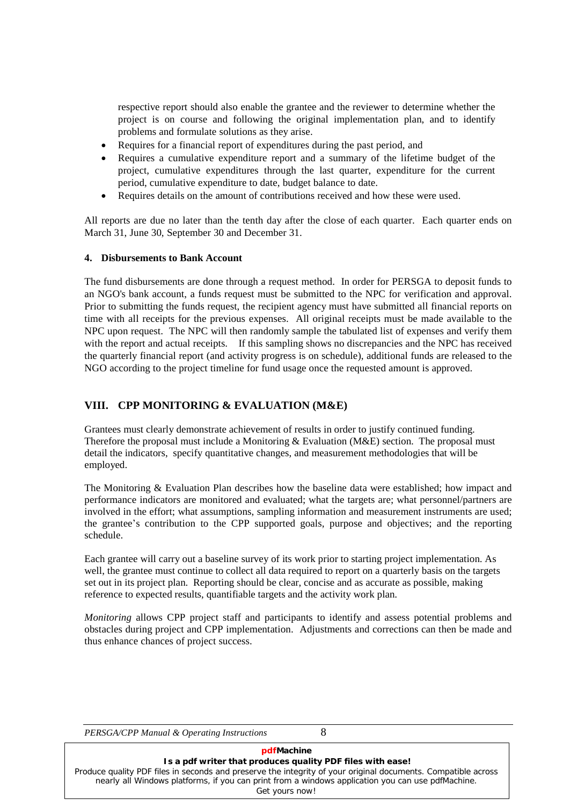respective report should also enable the grantee and the reviewer to determine whether the project is on course and following the original implementation plan, and to identify problems and formulate solutions as they arise.

- Requires for a financial report of expenditures during the past period, and
- Requires a cumulative expenditure report and a summary of the lifetime budget of the project, cumulative expenditures through the last quarter, expenditure for the current period, cumulative expenditure to date, budget balance to date.
- Requires details on the amount of contributions received and how these were used.  $\bullet$

All reports are due no later than the tenth day after the close of each quarter. Each quarter ends on March 31, June 30, September 30 and December 31.

## **4. Disbursements to Bank Account**

The fund disbursements are done through a request method. In order for PERSGA to deposit funds to an NGO's bank account, a funds request must be submitted to the NPC for verification and approval. Prior to submitting the funds request, the recipient agency must have submitted all financial reports on time with all receipts for the previous expenses. All original receipts must be made available to the NPC upon request. The NPC will then randomly sample the tabulated list of expenses and verify them with the report and actual receipts. If this sampling shows no discrepancies and the NPC has received the quarterly financial report (and activity progress is on schedule), additional funds are released to the NGO according to the project timeline for fund usage once the requested amount is approved.

# **VIII. CPP MONITORING & EVALUATION (M&E)**

Grantees must clearly demonstrate achievement of results in order to justify continued funding. Therefore the proposal must include a Monitoring  $&$  Evaluation (M&E) section. The proposal must detail the indicators, specify quantitative changes, and measurement methodologies that will be employed.

The Monitoring & Evaluation Plan describes how the baseline data were established; how impact and performance indicators are monitored and evaluated; what the targets are; what personnel/partners are involved in the effort; what assumptions, sampling information and measurement instruments are used; performance indicators are monitored and evaluated; what the targets are; what personnel/partners are involved in the effort; what assumptions, sampling information and measurement instruments are used; the grantee's contr schedule.

Each grantee will carry out a baseline survey of its work prior to starting project implementation. As well, the grantee must continue to collect all data required to report on a quarterly basis on the targets set out in its project plan. Reporting should be clear, concise and as accurate as possible, making reference to expected results, quantifiable targets and the activity work plan.

*Monitoring* allows CPP project staff and participants to identify and assess potential problems and obstacles during project and CPP implementation. Adjustments and corrections can then be made and thus enhance chances of project success.

*PERSGA/CPP Manual & Operating Instructions* 8

#### **pdfMachine Is a pdf writer that produces quality PDF files with ease!**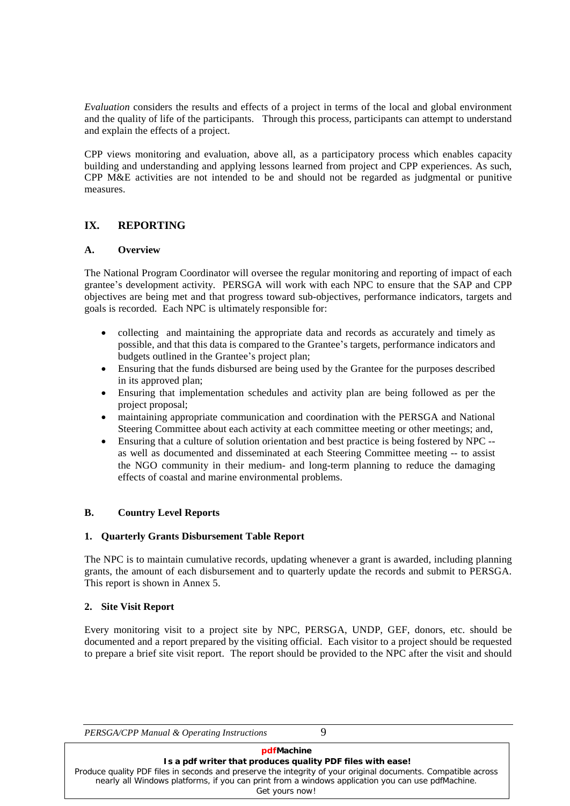*Evaluation* considers the results and effects of a project in terms of the local and global environment and the quality of life of the participants. Through this process, participants can attempt to understand and explain the effects of a project.

CPP views monitoring and evaluation, above all, as a participatory process which enables capacity building and understanding and applying lessons learned from project and CPP experiences. As such, CPP M&E activities are not intended to be and should not be regarded as judgmental or punitive measures.

# **IX. REPORTING**

## **A. Overview**

The National Program Coordinator will oversee the regular monitoring and reporting of impact of each The National Program Coordinator will oversee the regular monitoring and reporting of impact of each<br>grantee's development activity. PERSGA will work with each NPC to ensure that the SAP and CPP objectives are being met and that progress toward sub-objectives, performance indicators, targets and goals is recorded. Each NPC is ultimately responsible for:

- collecting and maintaining the appropriate data and records as accurately and timely as collecting and maintaining the appropriate data and records as accurately and timely as possible, and that this data is compared to the Grantee's targets, performance indicators and • collecting and maintaining the appropriate data a possible, and that this data is compared to the Grantee's project plan;
- Ensuring that the funds disbursed are being used by the Grantee for the purposes described in its approved plan;
- Ensuring that implementation schedules and activity plan are being followed as per the project proposal;
- maintaining appropriate communication and coordination with the PERSGA and National Steering Committee about each activity at each committee meeting or other meetings; and,
- Ensuring that a culture of solution orientation and best practice is being fostered by NPC as well as documented and disseminated at each Steering Committee meeting -- to assist the NGO community in their medium- and long-term planning to reduce the damaging effects of coastal and marine environmental problems.

# **B. Country Level Reports**

## **1. Quarterly Grants Disbursement Table Report**

The NPC is to maintain cumulative records, updating whenever a grant is awarded, including planning grants, the amount of each disbursement and to quarterly update the records and submit to PERSGA. This report is shown in Annex 5.

## **2. Site Visit Report**

Every monitoring visit to a project site by NPC, PERSGA, UNDP, GEF, donors, etc. should be documented and a report prepared by the visiting official. Each visitor to a project should be requested to prepare a brief site visit report. The report should be provided to the NPC after the visit and should

*PERSGA/CPP Manual & Operating Instructions* 9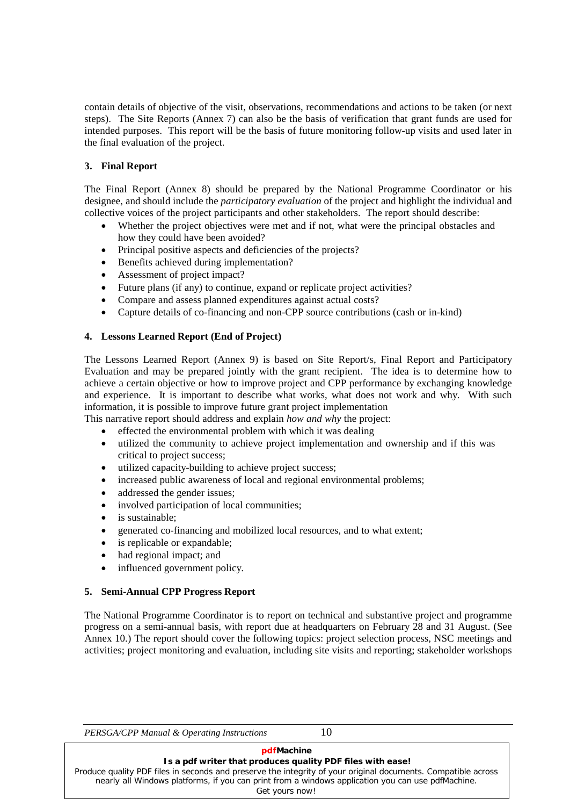contain details of objective of the visit, observations, recommendations and actions to be taken (or next steps). The Site Reports (Annex 7) can also be the basis of verification that grant funds are used for intended purposes. This report will be the basis of future monitoring follow-up visits and used later in the final evaluation of the project.

## **3. Final Report**

The Final Report (Annex 8) should be prepared by the National Programme Coordinator or his designee, and should include the *participatory evaluation* of the project and highlight the individual and collective voices of the project participants and other stakeholders. The report should describe:

- Whether the project objectives were met and if not, what were the principal obstacles and how they could have been avoided? **Principal positive aspects and deficiencies of the projects?**
- 
- Principal positive aspects and deficiencies of the p<br>• Benefits achieved during implementation? • Benefits achieved during implementati<br>• Assessment of project impact?
- 
- Assessment of project impact?<br>• Future plans (if any) to continue, expand or replicate project activities?
- Compare and assess planned expenditures against actual costs?
- Capture details of co-financing and non-CPP source contributions (cash or in-kind)

## **4. Lessons Learned Report (End of Project)**

The Lessons Learned Report (Annex 9) is based on Site Report/s, Final Report and Participatory Evaluation and may be prepared jointly with the grant recipient. The idea is to determine how to achieve a certain objective or how to improve project and CPP performance by exchanging knowledge and experience. It is important to describe what works, what does not work and why. With such information, it is possible to improve future grant project implementation Information, it is possible to improve future grant project implementation<br>This narrative report should address and explain *how and why* the project:

- effected the environmental problem with which it was dealing
- utilized the community to achieve project implementation and ownership and if this was critical to project success; The critical to project success;<br>■ utilized capacity-building to achieve project success;
- 
- utilized capacity-building to achieve project success;<br>• increased public awareness of local and regional environmental problems; • increased public awareness of loc<br>• addressed the gender issues;
- 
- addressed the gender issues;<br>• involved participation of local communities; • involved participati<br>• is sustainable;
- 
- is sustainable;<br>• generated co-financing and mobilized local resources, and to what extent; • generated co-financing and mobi<br>• is replicable or expandable;
- 
- had regional impact; and
- influenced government policy.

## **5. Semi-Annual CPP Progress Report**

The National Programme Coordinator is to report on technical and substantive project and programme progress on a semi-annual basis, with report due at headquarters on February 28 and 31 August. (See Annex 10.) The report should cover the following topics: project selection process, NSC meetings and activities; project monitoring and evaluation, including site visits and reporting; stakeholder workshops

#### **pdfMachine Is a pdf writer that produces quality PDF files with ease!** [Produce quality PDF files in seconds and preserve the integrity of your original documents. Compatible across](http://www.pdfmachine.com?cl)  nearly all Windows platforms, if you can print from a windows application you can use pdfMachine.

Get yours now!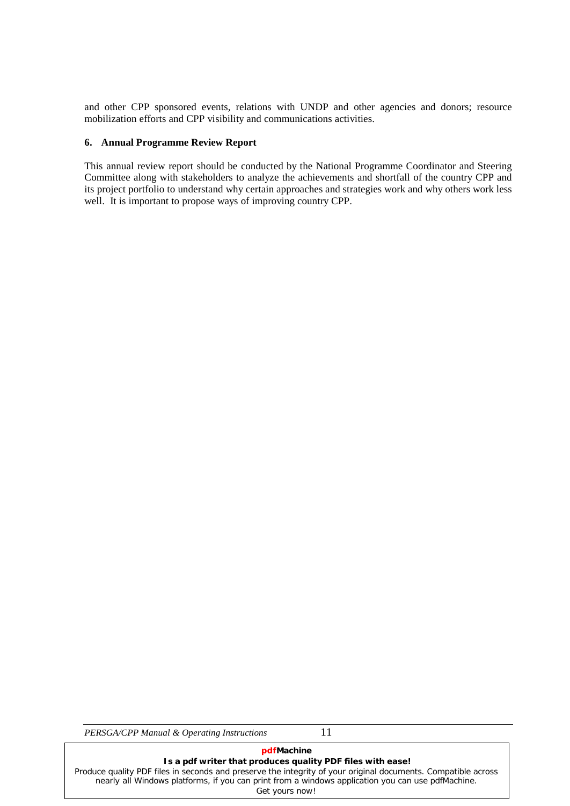and other CPP sponsored events, relations with UNDP and other agencies and donors; resource mobilization efforts and CPP visibility and communications activities.

#### **6. Annual Programme Review Report**

This annual review report should be conducted by the National Programme Coordinator and Steering Committee along with stakeholders to analyze the achievements and shortfall of the country CPP and its project portfolio to understand why certain approaches and strategies work and why others work less well. It is important to propose ways of improving country CPP.

*PERSGA/CPP Manual & Operating Instructions* 11